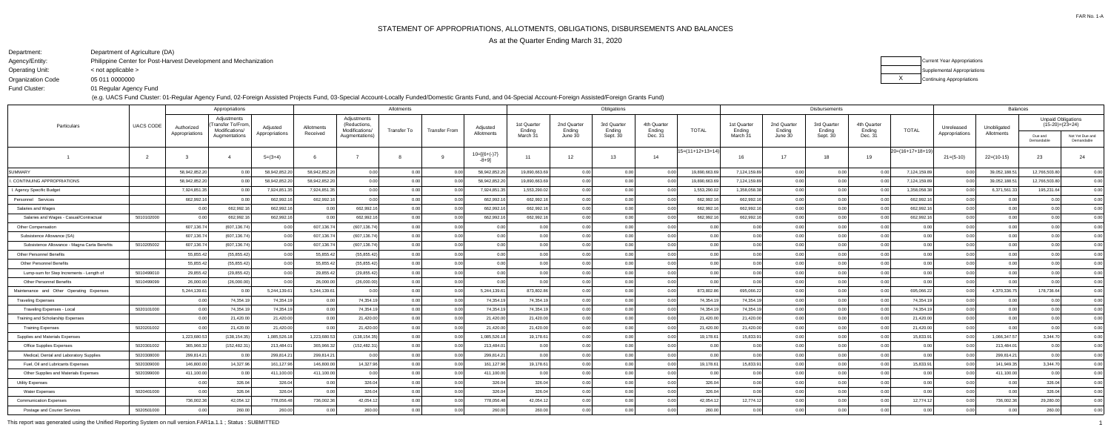| ł                                  |
|------------------------------------|
|                                    |
|                                    |
| 0<br>$_{0}$<br>X<br>)              |
| (<br>$\mathbf{C}$<br>)<br>)<br>1   |
| (<br>).(<br>$\mathfrak{z}$<br>)    |
| (<br>$\mathfrak{a}$<br>)(<br>)     |
| C<br>$_{0.0}$<br>)<br>x            |
| 0.00<br>)                          |
| 0.00<br>)                          |
| 0.00<br>)                          |
| 0.00                               |
| 0.00                               |
| 0.00                               |
| $_{0.0}$<br>(<br>X<br>)            |
| (<br>$\mathfrak{a}$<br>)(<br>)     |
| 0.00<br>)                          |
| 0.00<br>)                          |
| 0.00<br>)                          |
| Ó<br>0.00<br>)                     |
| 0.00                               |
| 0.00<br>)                          |
| 0<br>.00                           |
| (<br>).(<br>x<br>)                 |
| X<br>(<br>)<br>)<br>).             |
| 0.00                               |
| C<br>0.00<br>)                     |
| 0 <sup>0</sup><br>0                |
| 0.00<br>)                          |
| $\mathfrak{c}$<br>Ó<br>$_{0}$<br>) |

Operating Unit:

Department:Department of Agriculture (DA)

Fund Cluster:

Agency/Entity: Philippine Center for Post-Harvest Development and Mechanization

Organization Code05 011 0000000

< not applicable >

01 Regular Agency Fund

(e.g. UACS Fund Cluster: 01-Regular Agency Fund, 02-Foreign Assisted Projects Fund, 03-Special Account-Locally Funded/Domestic Grants Fund, and 04-Special Account-Foreign Assisted/Foreign Grants Fund)



This report was generated using the Unified Reporting System on null version.FAR1a.1.1 ; Status : SUBMITTED1<br>1

|                                              |                  |                | Appropriations                                    |                |               |                                               | Allotments        |                      |                        |                       |                       | Obligations           |                       |                      |                       |                       | Disbursements         |                       |                      |                | <b>Balances</b> |                                                |                               |
|----------------------------------------------|------------------|----------------|---------------------------------------------------|----------------|---------------|-----------------------------------------------|-------------------|----------------------|------------------------|-----------------------|-----------------------|-----------------------|-----------------------|----------------------|-----------------------|-----------------------|-----------------------|-----------------------|----------------------|----------------|-----------------|------------------------------------------------|-------------------------------|
| Particulars                                  | <b>UACS CODE</b> | Authorized     | Adjustments<br>Transfer To/From<br>Modifications/ | Adjusted       | Allotments    | Adjustments<br>(Reductions,<br>Modifications/ | Transfer To       | <b>Transfer From</b> | Adjusted               | 1st Quarter<br>Ending | 2nd Quarter<br>Ending | 3rd Quarter<br>Ending | 4th Quarter<br>Ending | <b>TOTAL</b>         | 1st Quarter<br>Ending | 2nd Quarter<br>Ending | 3rd Quarter<br>Ending | 4th Quarter<br>Ending | <b>TOTAL</b>         | Unreleased     | Unobligated     | <b>Unpaid Obligations</b><br>$(15-20)=(23+24)$ |                               |
|                                              |                  | Appropriations | Augmentations                                     | Appropriations | Received      | Augmentations)                                |                   |                      | Allotments             | March 31              | June 30               | Sept. 30              | Dec. 31               |                      | March 31              | June 30               | Sept. 30              | Dec. 31               |                      | Appropriations | Allotments      | Due and<br>Demandable                          | Not Yet Due and<br>Demandable |
|                                              | $\overline{2}$   | $\mathcal{R}$  |                                                   | $5=(3+4)$      |               |                                               |                   |                      | $10=[6+(-)7]$<br>-8+91 | 11                    | 12                    | 13                    | 14                    | $ 15=(11+12+13+14) $ | 16                    | 17                    | 18                    | 19                    | $ 20=(16+17+18+19) $ | $21 = (5-10)$  | $22=(10-15)$    | 23                                             | 24                            |
| <b>SUMMARY</b>                               |                  | 58,942,852.20  | 0.00                                              | 58,942,852.20  | 58,942,852.20 | 0.00                                          | 0.00              | 0.00                 | 58,942,852.20          | 19,890,663.69         | 0.00                  | 0.00                  | 0.00                  | 19,890,663.6         | 7,124,159.89          | 0.00                  | 0.00                  | 0.00                  | 7,124,159.89         | 0.0            | 39,052,188.5    | 12,766,503.80                                  | 0.00                          |
| CONTINUING APPROPRIATIONS                    |                  | 58,942,852.20  |                                                   | 58,942,852.20  | 58,942,852.20 | 0.00                                          | 0.00              | 0.00                 | 58,942,852.20          | 19,890,663.69         | 0.00                  | 0.00                  | 0.00                  | 19,890,663.6         | 7,124,159.89          | 0.00                  | 0.00                  | 0.00                  | 7,124,159.89         | 0.00           | 39,052,188.5    | 12,766,503.80                                  | 0.00                          |
| . Agency Specific Budget                     |                  | 7,924,851.3    | 0.00                                              | 7,924,851.35   | 7,924,851.35  | 0.00                                          | 0.00              | 0.00                 | 7,924,851.35           | 1,553,290.02          | 0.00                  | 0.00                  | 0.00                  | 1,553,290.0          | 1,358,058.38          | 0.00                  | 0.00                  | 0.00                  | 1,358,058.38         | 0.0            | 6,371,561.33    | 195,231.64                                     | 0.00                          |
| Personnel Services                           |                  | 662,992.16     | 0.00                                              | 662,992.16     | 662,992.16    | 0.00                                          | 0.00              | 0.00                 | 662,992.16             | 662,992.16            | 0.00                  | 0.00                  | 0.00                  | 662,992.1            | 662,992.16            | 0.00                  | 0.00                  | 0.00                  | 662,992.16           | 0.0            | 0.00            | 0.00                                           | 0.00                          |
| Salaries and Wages                           |                  | 0.00           | 662,992.16                                        | 662,992.16     | 0.00          | 662,992.16                                    | 0.00              | 0.00                 | 662,992.16             | 662,992.16            | 0.00                  | 0.00                  | 0.00                  | 662,992.1            | 662,992.16            | 0.00                  | 0.00                  | 0.001                 | 662,992.16           | 0.00           | 0.00            | 0.00                                           | 0.00                          |
| Salaries and Wages - Casual/Contractual      | 5010102000       | 0.00           | 662,992.1                                         | 662,992.16     | 0.00          | 662,992.16                                    | 0.00              | 0.00                 | 662,992.16             | 662,992.16            | 0.00                  | 0.00                  | 0.00                  | 662,992.1            | 662,992.16            | 0.00                  | 0.00                  | 0.00                  | 662,992.16           | 0.00           | 0.00            | 0.00                                           | 0.00                          |
| <b>Other Compensation</b>                    |                  | 607,136.74     | (607, 136.74)                                     | 0.00           | 607,136.74    | (607, 136.74)                                 | 0.00              | 0.00                 | 0.0                    | 0.00                  | 0.00                  | 0.00                  | 0.00                  | 0.00                 | 0.00                  | 0.00                  | 0.00                  | 0.00                  | 0.00                 | 0.00           | 0.00            | 0.00                                           | 0.00                          |
| Subsistence Allowance (SA)                   |                  | 607,136.74     | (607, 136.74)                                     | 0.00           | 607,136.74    | (607,136.74                                   | 0.00              | 0.00                 | 0.00                   | 0.00                  | 0.00                  | 0.00                  | 0.00                  | 0.00                 | 0.00                  | 0.00                  | 0 <sub>0</sub>        | 0.00                  | 0.00                 | 0.00           | 0.00            | 0 <sub>0</sub>                                 | 0.00                          |
| Subsistence Allowance - Magna Carta Benefits | 5010205002       | 607,136.7      | (607,136.74                                       | 0.00           | 607,136.74    | (607, 136.74)                                 | 0.00              | 0.00                 | 0.00                   | 0.00                  | 0.00                  | 0.00                  | 0.00                  | 0.00                 | 0.00                  | 0.00                  | 0.00                  | 0.00                  | 0.00                 | 0.00           | 0.00            | 0.00                                           | 0.00                          |
| <b>Other Personnel Benefits</b>              |                  | 55,855.42      | (55, 855.42)                                      | 0.00           | 55,855.42     | (55, 855.42)                                  | 0.00              | 0.00                 | 0.00                   | 0.00                  | 0.00                  | 0.00                  | 0.00                  | 0.00                 | 0.00                  | 0.00                  | 0.00                  | 0.00                  | 0.00                 | 0.00           | 0.00            | 0.00                                           | 0.00                          |
| <b>Other Personnel Benefits</b>              |                  | 55,855.4       | (55, 855.42)                                      | 0.00           | 55,855.42     | (55, 855.42)                                  | 0.00              | 0.00                 | 0.00                   | 0.00                  | 0.00                  | 0.00                  | 0.00                  | 0.00                 | 0.00                  | 0.00                  | 0.00                  | 0.00                  | 0.00                 | 0.00           | 0.00            | 0 <sub>0</sub>                                 | 0.00                          |
| Lump-sum for Step Increments - Length of     | 5010499010       | 29,855.42      | (29, 855.42)                                      | 0.00           | 29,855.42     | (29, 855.42)                                  | 0.00              | 0.00                 | 0.00                   | 0.00                  | 0.00                  | 0.00                  | 0.00                  | 0.00                 | 0.00                  | 0.00                  | 0.00                  | 0.00                  | 0.00                 | 0.00           | 0.00            | 0.00                                           | 0.00                          |
| <b>Other Personnel Benefits</b>              | 5010499099       | 26,000.00      | (26,000.00)                                       | 0 <sub>0</sub> | 26,000.00     | (26,000.00)                                   | 0.00              | 0.00                 | 0.00                   | 0.00                  | 0.00                  | 0.00                  | 0.00                  | 0.00                 | 0.00                  | 0.00                  | 0.00                  | 0.00                  | 0.00                 | 0.00           | 0.00            | 0 <sub>0</sub>                                 | 0.00                          |
| Maintenance and Other Operating Expenses     |                  | 5,244,139.6    | 0.00                                              | 5,244,139.61   | 5,244,139.61  | 0.00                                          | 0.00              | 0.00                 | 5,244,139.6            | 873,802.86            | 0.00                  | 0.00                  | 0.00                  | 873,802.8            | 695,066.22            | 0.00                  | 0.00                  | 0.00                  | 695,066.22           | 0.00           | 4,370,336.7     | 178,736.64                                     | 0.00                          |
| <b>Traveling Expenses</b>                    |                  | 0.00           | 74,354.19                                         | 74,354.19      | 0.00          | 74,354.19                                     | 0.00              | 0.00                 | 74,354.19              | 74,354.19             | 0.00                  | 0.00                  | 0.00                  | 74,354.1             | 74,354.19             | 0.00                  | 0.00                  | 0.00                  | 74,354.19            | 0.00           | 0.00            | 0.00                                           | 0.00                          |
| Traveling Expenses - Local                   | 5020101000       | 0.00           | 74,354.19                                         | 74,354.19      | 0.00          | 74,354.19                                     | 0.00              | 0.00                 | 74,354.19              | 74,354.19             | 0.00                  | 0.00                  | 0.00                  | 74,354.1             | 74,354.19             | 0.00                  | 0.00                  | 0.00                  | 74,354.19            | 0.00           | 0.00            | 0 <sub>0</sub>                                 | 0.00                          |
| Training and Scholarship Expenses            |                  | 0.00           | 21,420.00                                         | 21,420.00      | 0.00          | 21,420.00                                     | 0.00 <sup>1</sup> | 0.00                 | 21,420.00              | 21,420.00             | 0.00                  | 0.00                  | 0.00                  | 21,420.0             | 21,420.00             | 0.00                  | 0.00                  | 0.00                  | 21,420.00            | 0.00           | 0.00            | 0.00                                           | 0.00                          |
| <b>Training Expenses</b>                     | 5020201002       | 0.00           | 21,420.00                                         | 21,420.00      |               | 21,420.00                                     | 0.00              | 0.00                 | 21,420.00              | 21,420.00             | 0.00                  | 0.00                  | 0.00                  | 21,420.00            | 21,420.00             | 0.00                  | 0.00                  | 0.00                  | 21,420.00            | 0.00           | 0.00            | 0 <sub>0</sub>                                 | 0.00                          |
| Supplies and Materials Expenses              |                  | 1,223,680.53   | (138, 154.35)                                     | 1,085,526.18   | 1,223,680.53  | (138, 154.35)                                 | 0.00              | 0.00                 | 1,085,526.18           | 19,178.61             | 0.00                  | 0.00                  | 0.00                  | 19,178.6             | 15,833.91             | 0.00                  | ი იი                  | 0.00                  | 15,833.91            | . 0.0          | 1,066,347.57    | 3,344.70                                       | 0.00                          |
| Office Supplies Expenses                     | 5020301002       | 365,966.32     | (152, 482.31)                                     | 213,484.01     | 365,966.32    | (152,482.31                                   | 0.00              | 0.00                 | 213,484.0              | 0.00                  | 0.00                  | 0.00                  | 0.00                  | 0.00                 | 0.00                  | 0.00                  | 0.00                  | 0.00                  | 0.00                 | 0.00           | 213,484.01      | 0.00                                           | 0.00                          |
| Medical, Dental and Laboratory Supplies      | 5020308000       | 299,814.2      | 0.00                                              | 299,814.2      | 299,814.21    | 0.00                                          | 0.00              | 0.00                 | 299,814.21             | 0.00                  | 0.00                  | 0.00                  | 0.00                  | 0.00                 | 0.00                  | 0.00                  | 0.00                  | 0.00                  | 0.00                 | 0.0            | 299,814.21      | 0.00                                           | 0.00                          |
| Fuel, Oil and Lubricants Expenses            | 5020309000       | 146,800.00     | 14,327.96                                         | 161,127.96     | 146,800.00    | 14,327.96                                     | 0.00              | 0.00                 | 161,127.96             | 19,178.61             | 0.00                  | 0.00                  | 0.00                  | 19,178.61            | 15,833.91             | 0.00                  | 0.00                  | 0.00                  | 15,833.91            | 0.0            | 141,949.35      | 3,344.70                                       | 0.00                          |
| Other Supplies and Materials Expenses        | 5020399000       | 411,100.00     | 0.0                                               | 411,100.00     | 411,100.00    | 0.00                                          | 0.00              | 0.00                 | 411,100.00             | 0.00                  | 0.00                  | 0.00                  | 0.00                  | 0.00                 | 0.00                  | 0.00                  | 0.00                  | 0.00                  | 0.00                 |                | 411,100.00      | 0.00                                           | 0.00                          |
| <b>Utility Expenses</b>                      |                  | 0.00           | 326.04                                            | 326.04         | 0.00          | 326.04                                        | 0.00              | 0.00                 | 326.04                 | 326.04                | 0.00                  | 0.00                  | 0.00                  | 326.04               | 0.00                  | 0.00                  | 0.00                  | 0.00                  | 0.00                 | 0.00           | 0.00            | 326.04                                         | 0.00                          |
| <b>Water Expenses</b>                        | 5020401000       | 0.00           | 326.04                                            | 326.04         | 0.00          | 326.04                                        | 0.00              | 0.00                 | 326.04                 | 326.04                | 0.00                  | 0.00                  | 0.00                  | 326.04               | 0.00                  | 0.00                  | 0.00                  | 0.00                  | 0.00                 | 0.00           | 0.00            | 326.04                                         | 0.00                          |
| <b>Communication Expenses</b>                |                  | 736,002.36     | 42,054.12                                         | 778,056.48     | 736,002.36    | 42,054.12                                     | 0.00              | 0.00                 | 778,056.48             | 42,054.12             | 0.00                  | 0.00                  | 0.00                  | 42,054.1             | 12,774.12             | 0.00                  | 0.00                  | 0.00                  | 12,774.12            | 0.00           | 736,002.36      | 29,280.00                                      | 0.00                          |
| Postage and Courier Services                 | 5020501000       | 0.00           | 260.00                                            | 260.00         | 0.00          | 260.00                                        | 0.00              |                      | 260.00                 | 260.00                | 0.00                  | 0.00                  | 0 <sub>0</sub>        | 260.00               | 0.00                  | 0.00                  |                       | 0.00                  | 0 <sub>0</sub>       | 0.00           | 0.00            | 260.00                                         | 0.00                          |
|                                              |                  |                |                                                   |                |               |                                               |                   |                      |                        |                       |                       |                       |                       |                      |                       |                       |                       |                       |                      |                |                 |                                                |                               |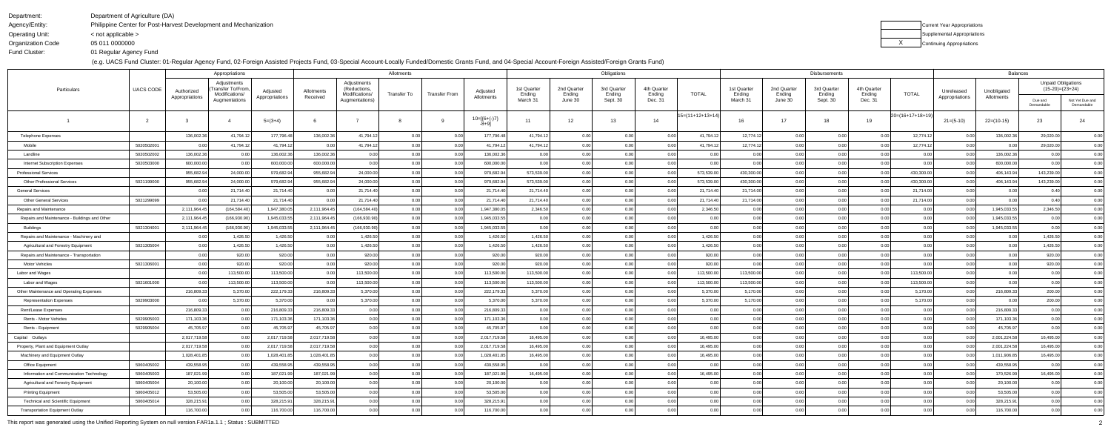Department:

Operating Unit:

Department of Agriculture (DA)

Agency/Entity: Philippine Center for Post-Harvest Development and Mechanization< not applicable >

 Organization CodeFund Cluster:05 011 0000000

01 Regular Agency Fund

(e.g. UACS Fund Cluster: 01-Regular Agency Fund, 02-Foreign Assisted Projects Fund, 03-Special Account-Locally Funded/Domestic Grants Fund, and 04-Special Account-Foreign Assisted/Foreign Grants Fund)

| Current Year Appropriations |
|-----------------------------|
| Supplemental Appropriations |
| Continuing Appropriations   |

| )<br>(<br>)(                          |  |
|---------------------------------------|--|
|                                       |  |
| $\mathfrak{z}$<br>)<br>I              |  |
| $\mathfrak{z}$<br>(<br>$\mathbf{I}$   |  |
| $\mathfrak{z}$<br>$\mathbf{I}$<br>I   |  |
| (<br>)(<br>$\mathbf{I}$               |  |
| $\mathfrak{z}$<br>$\mathbf{r}$<br>I   |  |
|                                       |  |
| X<br>$\overline{ }$<br>(              |  |
| $\mathfrak{z}$<br>$\mathbf{r}$<br>I   |  |
| (<br>X<br>)                           |  |
| $\mathbf{I}$<br>$\mathfrak{z}$<br>I   |  |
| X<br>$\overline{ }$<br>(              |  |
|                                       |  |
| $\mathfrak{z}$<br>$\mathbf{r}$<br>I   |  |
| (<br>)(<br>$\mathbf{I}$               |  |
| $\mathbf{I}$<br>$\mathfrak{z}$<br>I   |  |
| $\mathfrak{z}$<br>$\overline{ }$<br>( |  |
| $\mathfrak{z}$<br>$\mathbf{r}$<br>I   |  |
|                                       |  |
| X<br>$\mathbf{I}$<br>(                |  |
| $\mathfrak{z}$<br>$\mathbf{r}$<br>I   |  |
| )<br>(<br>$\mathfrak{z}$              |  |
| $\mathfrak{z}$<br>$\mathbf{r}$<br>I   |  |
| )(<br>)<br>(                          |  |
|                                       |  |
| $\mathfrak{z}$<br>$\mathbf{r}$<br>J.  |  |
| $\mathfrak{z}$<br>)<br>(              |  |
| I<br>ı<br>)<br>֚֚֡֡֡֡֡֡               |  |
| )(<br>)<br>I                          |  |
| )(<br>$\mathbf{r}$<br>(               |  |
|                                       |  |
| X<br>)<br>O                           |  |
| (<br>K<br>)                           |  |
| )(<br>)<br>(                          |  |
| )(<br>$\mathbf{r}$<br>I               |  |
| $\mathfrak{z}$<br>)<br>C              |  |
|                                       |  |

|                                               |                  | Appropriations               |                                                   |                            |                        | Allotments                                    |             |                      |                        |                       | Obligations           |                       |                       |                    |                       | Disbursements         |                       |                       | <b>Balances</b>    |                              |                           |                                                |                               |
|-----------------------------------------------|------------------|------------------------------|---------------------------------------------------|----------------------------|------------------------|-----------------------------------------------|-------------|----------------------|------------------------|-----------------------|-----------------------|-----------------------|-----------------------|--------------------|-----------------------|-----------------------|-----------------------|-----------------------|--------------------|------------------------------|---------------------------|------------------------------------------------|-------------------------------|
| Particulars                                   | <b>UACS CODE</b> | Authorized<br>Appropriations | Adjustments<br>Transfer To/From<br>Modifications/ | Adjusted<br>Appropriations | Allotments<br>Received | Adjustments<br>(Reductions,<br>Modifications/ | Transfer To | <b>Transfer From</b> | Adjusted<br>Allotments | 1st Quarter<br>Ending | 2nd Quarter<br>Ending | 3rd Quarter<br>Ending | 4th Quarter<br>Ending | <b>TOTAL</b>       | 1st Quarter<br>Ending | 2nd Quarter<br>Ending | 3rd Quarter<br>Ending | 4th Quarter<br>Ending | <b>TOTAL</b>       | Unreleased<br>Appropriations | Unobligated<br>Allotments | <b>Unpaid Obligations</b><br>$(15-20)=(23+24)$ |                               |
|                                               |                  |                              | Augmentations                                     |                            |                        | Augmentations)                                |             |                      |                        | March 31              | June 30               | Sept. 30              | Dec. 31               |                    | March 31              | June 30               | Sept. 30              | Dec. 31               |                    |                              |                           | Due and<br>Demandable                          | Not Yet Due and<br>Demandable |
|                                               | -2               |                              |                                                   | $5=(3+4)$                  |                        |                                               |             |                      | $10=[6+(-)7]$<br>-8+9] | 11                    | 12                    | 13                    | 14                    | $15=(11+12+13+14)$ | 16                    | 17                    | 18                    | 19                    | $20=(16+17+18+19)$ | $21 = (5-10)$                | $22=(10-15)$              | 23                                             | 24                            |
| <b>Telephone Expenses</b>                     |                  | 136,002.36                   | 41,794.1                                          | 177,796.48                 | 136,002.36             | 41,794.12                                     | 0.00        | 0.00                 | 177,796.48             | 41,794.12             | 0.00                  | 0.00                  | 0.00                  | 41,794.1           | 12,774.12             | 0.00                  | 0.00                  | 0.00                  | 12,774.12          | 0.00                         | 136,002.36                | 29,020.00                                      | 0.00                          |
| Mobile                                        | 5020502001       | 0.00                         | 41,794.1                                          | 41,794.12                  | 0.00                   | 41,794.12                                     | 0.00        | 0.00                 | 41,794.12              | 41,794.12             | 0.00                  | 0.00                  | 0.00                  | 41,794.1           | 12,774.12             | 0.00                  | 0.00                  | 0.00                  | 12,774.12          | 0.00                         | 0.00                      | 29,020.00                                      | 0.00                          |
| Landline                                      | 5020502002       | 136,002.36                   | 0.00                                              | 136,002.36                 | 136,002.36             | 0.00                                          | 0.00        | 0.00                 | 136,002.3              | 0.00                  | 0.00                  | 0.00                  | 0.00                  | 0.00               | 0.00                  | 0.00                  | 0.00                  | 0.00                  | 0.00               | 0.00                         | 136,002.36                | 0.00                                           | 0.00                          |
| <b>Internet Subscription Expenses</b>         | 5020503000       | 600,000.00                   | 0.00                                              | 600,000.00                 | 600,000.00             | 0.00                                          | 0.00        | 0.00                 | 600,000.00             | 0.00                  | 0.00                  | 0.00                  | 0.00                  | 0.00               | 0.00                  | 0.00                  | 0.00                  | 0.00                  | 0.00               | 0.00                         | 600,000.00                | 0.00                                           | 0.00                          |
| <b>Professional Services</b>                  |                  | 955,682.94                   | 24,000.00                                         | 979,682.94                 | 955,682.94             | 24,000.00                                     | 0.00        | 0.00                 | 979,682.94             | 573,539.00            | 0.00                  | 0.00                  | 0.00                  | 573,539.00         | 430,300.00            | 0.00                  | 0.00                  | 0.00                  | 430,300.00         | 0.00                         | 406,143.94                | 143,239.00                                     | 0.00                          |
| <b>Other Professional Services</b>            | 5021199000       | 955,682.94                   | 24,000.00                                         | 979,682.94                 | 955,682.94             | 24,000.00                                     | 0.00        | 0.00                 | 979,682.94             | 573,539.00            | 0.00                  | 0.00                  | 0.00                  | 573,539.0          | 430,300.00            | 0.00                  | 0.00                  | 0.00                  | 430,300.00         | 0.00                         | 406,143.94                | 143,239.00                                     | 0.00                          |
| <b>General Services</b>                       |                  | 0.00                         | 21,714.4                                          | 21,714.40                  | 0.00                   | 21,714.40                                     | 0.00        | 0.00                 | 21,714.40              | 21,714.40             | 0.00                  | 0.00                  | 0.00                  | 21,714.4           | 21,714.00             | 0.00                  | 0.00                  | 0.00                  | 21,714.00          | 0.00                         | 0.00                      | 0.40                                           | 0.00                          |
| <b>Other General Services</b>                 | 5021299099       | 0.00                         | 21,714.40                                         | 21,714.40                  | 0.00                   | 21,714.40                                     | 0.00        | 0.00                 | 21,714.40              | 21,714.40             | 0.00                  | 0.00                  | 0.00                  | 21,714.4           | 21,714.00             | 0.00                  | 0.00                  | 0.00                  | 21,714.00          | 0.00                         | 0.00                      | 0.40                                           | 0.00                          |
| Repairs and Maintenance                       |                  | 2,111,964.45                 | (164, 584.40)                                     | 1,947,380.05               | 2,111,964.45           | (164, 584.40)                                 | 0.00        | 0.00                 | 1,947,380.0            | 2,346.50              | 0.00                  | 0.00                  | 0.00                  | 2,346.50           | 0.00                  | 0.00                  | 0.00                  | 0.00                  | 0.00               | 0.00                         | 1,945,033.5               | 2,346.50                                       | 0.00                          |
| Repairs and Maintenance - Buildings and Other |                  | 2,111,964.4                  | (166, 930.90)                                     | 1,945,033.55               | 2,111,964.4            | (166, 930.90)                                 | 0.00        | 0.00                 | 1,945,033.55           | 0.00                  | 0.00                  | 0.00                  | 0.00                  | 0.00               | 0.00                  | 0.00                  | 0.00                  | 0.00                  | 0.00               | 0.00                         | 1,945,033.55              | 0.00                                           | 0.00                          |
| Buildings                                     | 5021304001       | 2,111,964.45                 | (166, 930.90)                                     | 1,945,033.55               | 2,111,964.45           | (166,930.90)                                  | 0.00        | 0.00                 | 1,945,033.5            | 0.00                  | 0.00                  | 0.00                  | 0.00                  | 0.00               | 0.00                  | 0.00                  | 0.00                  | 0.00                  | 0.00               | 0.0                          | 1,945,033.55              | 0.00                                           | 0.00                          |
| Repairs and Maintenance - Machinery and       |                  | 0.00                         | 1,426.50                                          | 1,426.50                   | 0.00                   | 1,426.50                                      | 0.00        | 0.00                 | 1,426.50               | 1,426.50              | 0.00                  | 0.00                  | 0.00                  | 1,426.50           | 0.00                  | 0.00                  | 0.00                  | 0.00                  | 0.00               | 0.00                         | 0.00                      | 1,426.50                                       | 0.00                          |
| Agricultural and Forestry Equipment           | 5021305004       | 0.00                         | 1,426.50                                          | 1,426.50                   | 0.00                   | 1,426.50                                      | 0.00        | 0.00                 | 1,426.50               | 1,426.50              | 0.00                  | 0.00                  | 0.00                  | 1,426.50           | 0.00                  | 0.00                  | 0.00                  | 0.00                  | 0.00               | 0.00                         | 0.00                      | 1,426.50                                       | 0.00                          |
| Repairs and Maintenance - Transportation      |                  | 0.00                         | 920.00                                            | 920.00                     | 0.00                   | 920.00                                        | 0.00        | 0.00                 | 920.00                 | 920.00                | 0.00                  | 0.00                  | 0.00                  | 920.00             | 0.00                  | 0.00                  | 0.00                  | 0.00                  | 0.00               | 0.00                         | 0.00                      | 920.00                                         | 0.00                          |
| Motor Vehicles                                | 5021306001       | 0.00                         | 920.00                                            | 920.00                     | 0.00                   | 920.00                                        | 0.00        | 0.00                 | 920.00                 | 920.00                | 0.00                  | 0.00                  | 0.00                  | 920.00             | 0.00                  | 0.00                  | 0.00                  | 0.00                  | 0.00               | 0.00                         | 0.00                      | 920.00                                         | 0.00                          |
| Labor and Wages                               |                  | 0.00                         | 113,500.00                                        | 113,500.00                 | 0.00                   | 113,500.00                                    | 0.00        | 0.00                 | 113,500.00             | 113,500.00            | 0.00                  | 0.00                  | 0.00                  | 113,500.00         | 113,500.00            | 0.00                  | 0.00                  | 0.00                  | 113,500.00         | 0.00                         | 0.00                      | 0.00                                           | 0.00                          |
| Labor and Wages                               | 5021601000       | 0.00                         | 113,500.00                                        | 113,500.00                 | 0.00                   | 113,500.00                                    | 0.00        | 0.00                 | 113,500.00             | 113,500.00            | 0.00                  | 0.00                  | 0.00                  | 113,500.00         | 113,500.00            | 0.00                  | 0.00                  | 0.00                  | 113,500.00         | 0.00                         | 0.00                      | 0.00                                           | 0.00                          |
| Other Maintenance and Operating Expenses      |                  | 216,809.33                   | 5,370.00                                          | 222,179.33                 | 216,809.33             | 5,370.00                                      | 0.00        | 0.00                 | 222,179.33             | 5,370.00              | 0.00                  | 0.00                  | 0.00                  | 5,370.00           | 5,170.00              | 0.00                  | 0.00                  | 0.00                  | 5,170.00           | 0.00                         | 216,809.33                | 200.00                                         | 0.00                          |
| <b>Representation Expenses</b>                | 5029903000       | 0.00                         | 5,370.00                                          | 5,370.00                   | 0.00                   | 5,370.00                                      | 0.00        | 0.00                 | 5,370.00               | 5,370.00              | 0.00                  | 0.00                  | 0.00                  | 5,370.00           | 5,170.00              | 0.00                  | 0.00                  | 0.00                  | 5,170.00           | 0.00                         | 0.00                      | 200.00                                         | 0.00                          |
| Rent/Lease Expenses                           |                  | 216,809.33                   | 0.00                                              | 216,809.33                 | 216,809.33             | 0.00                                          | 0.00        | 0.00                 | 216,809.33             | 0.00                  | 0.00                  | 0.00                  | 0.00                  | 0.00               | 0.00                  | 0.00                  | 0.00                  | 0.00                  | 0.00               | 0.00                         | 216,809.33                | 0.00                                           | 0.00                          |
| Rents - Motor Vehicles                        | 5029905003       | 171,103.36                   | 0.00                                              | 171,103.36                 | 171,103.36             | 0.00                                          | 0.00        | 0.00                 | 171,103.36             | 0.00                  | 0.00                  | 0.00                  | 0.00                  | 0.00               | 0.00                  | 0.00                  | 0.00                  | 0.00                  | 0.00               | - 0.0                        | 171,103.36                | 0.00                                           | 0.00                          |
| Rents - Equipment                             | 5029905004       | 45,705.97                    | 0.00                                              | 45,705.97                  | 45,705.97              | 0.00                                          | 0.00        | 0.00                 | 45,705.9               | 0.00                  | 0.00                  | 0.00                  | 0.00                  | 0.00               | 0.00                  | 0.00                  | 0.00                  | 0.00                  | 0.00               | - 0.0                        | 45,705.97                 | 0.00                                           | 0.00                          |
| Capital Outlays                               |                  | 2,017,719.58                 | 0.00                                              | 2,017,719.58               | 2,017,719.58           | 0.00                                          | 0.00        |                      | 2,017,719.58           | 16,495.00             | 0.00                  | 0.00                  | 0.00                  | 16,495.00          | 0.00                  | 0.00                  | 0.00                  | 0.00                  | 0.00               | 0.0                          | 2,001,224.58              | 16,495.00                                      | 0.00                          |
| Property, Plant and Equipment Outlay          |                  | 2,017,719.58                 | 0.00                                              | 2,017,719.58               | 2,017,719.58           | 0.00                                          | 0.00        | 0.00                 | 2,017,719.58           | 16,495.00             | 0.00                  | 0.00                  | 0.00                  | 16,495.00          | 0.00                  | 0.00                  | 0.00                  | 0.00                  | 0.00               | 0.00                         | 2,001,224.58              | 16,495.00                                      | 0.00                          |
| Machinery and Equipment Outlay                |                  | 1,028,401.85                 | 0.00                                              | 1,028,401.85               | 1,028,401.85           | 0.00                                          | 0.00        | 0.00                 | 1,028,401.85           | 16,495.00             | 0.00                  | 0.00                  | 0.00                  | 16,495.00          | 0.00                  | 0.00                  | 0.00                  | 0.00                  | 0.00               | 0.00                         | 1,011,906.85              | 16,495.00                                      | 0.00                          |
| Office Equipment                              | 5060405002       | 439,558.95                   | 0.00                                              | 439,558.95                 | 439,558.95             | 0.00                                          | 0.00        | 0.00                 | 439,558.95             | 0.00                  | 0.00                  | 0.00                  | 0.00                  | 0.00               | 0.00                  | 0.00                  | 0.00                  | 0.00                  | 0.00               | 0.00                         | 439,558.95                | 0.00                                           | 0.00                          |
| Information and Communication Technology      | 5060405003       | 187,021.99                   | 0.00                                              | 187,021.99                 | 187,021.99             | 0.00                                          | 0.00        | 0.00                 | 187,021.99             | 16,495.00             | 0.00                  | 0.00                  | 0.00                  | 16,495.00          | 0.00                  | 0.00                  | 0.00                  | 0.00                  | 0.00               | 0.00                         | 170,526.99                | 16,495.00                                      | 0.00                          |
| Agricultural and Forestry Equipment           | 5060405004       | 20,100.00                    | 0.00                                              | 20,100.00                  | 20,100.00              | 0.00                                          | 0.00        | 0.00                 | 20,100.00              | 0.00                  | 0.00                  | 0.00                  | 0.00                  | 0.00               | 0.00                  | 0.00                  | 0.00                  | 0.00                  | 0.00               | 0.00                         | 20,100.00                 | 0.00                                           | 0.00                          |
| <b>Printing Equipment</b>                     | 5060405012       | 53,505.00                    | 0.00                                              | 53,505.00                  | 53,505.00              | 0.00                                          | 0.00        | 0.00                 | 53,505.00              | 0.00                  | 0.00                  | 0.00                  | 0.00                  | 0.00               | 0.00                  | 0.00                  | 0.00                  | 0.00                  | 0.00               | 0.00                         | 53,505.00                 | 0.00                                           | 0.00                          |
| <b>Technical and Scientific Equipment</b>     | 5060405014       | 328,215.91                   | 0.00                                              | 328,215.91                 | 328,215.91             | 0.00                                          | 0.00        | 0.00                 | 328,215.91             | 0.00                  | 0.00                  | 0.00                  | 0.00                  | 0.00               | 0.00                  | 0.00                  | 0.00                  | 0.00                  | 0.00               | 0.00                         | 328,215.91                | 0.00                                           | 0.00                          |
| <b>Transportation Equipment Outlay</b>        |                  | 116,700.00                   | 0.00                                              | 116,700.00                 | 116,700.00             | 0.00                                          | 0.00        | 0.00                 | 116,700.00             | 0.00                  | 0.00                  | 0.00                  | 0.00                  | 0.00               | 0.00                  | 0.00                  | 0.00                  | 0.00                  | 0.00               | 0.00                         | 116,700.00                | 0.00                                           | 0.00                          |
|                                               |                  |                              |                                                   |                            |                        |                                               |             |                      |                        |                       |                       |                       |                       |                    |                       |                       |                       |                       |                    |                              |                           |                                                |                               |

This report was generated using the Unified Reporting System on null version.FAR1a.1.1 ; Status : SUBMITTED2<br>D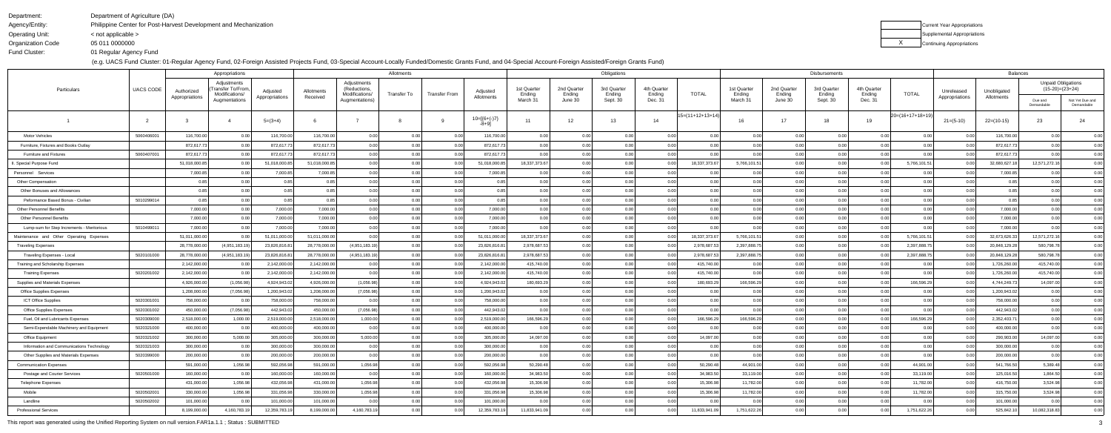Department:

Operating Unit:

Agency/Entity: Philippine Center for Post-Harvest Development and Mechanization

Department of Agriculture (DA)

 Organization CodeFund Cluster:05 011 0000000

< not applicable >

01 Regular Agency Fund

(e.g. UACS Fund Cluster: 01-Regular Agency Fund, 02-Foreign Assisted Projects Fund, 03-Special Account-Locally Funded/Domestic Grants Fund, and 04-Special Account-Foreign Assisted/Foreign Grants Fund)

| Current Year Appropriations |
|-----------------------------|
| Supplemental Appropriations |
| Continuing Appropriations   |

| )(<br>I<br>١                               |  |
|--------------------------------------------|--|
| l                                          |  |
| ׇ֚֕֡<br>K<br>$\overline{\phantom{a}}$<br>1 |  |
| l<br>ı<br>ı                                |  |
| $\overline{\phantom{a}}$<br>I              |  |
| $\overline{a}$<br>I<br>K                   |  |
| K<br>l<br>$\overline{ }$<br>(<br>1         |  |
| l<br>I<br>ı                                |  |
| $\overline{\phantom{a}}$<br>I              |  |
| I<br>ι<br>K                                |  |
| K<br>l<br>$\overline{ }$<br>(              |  |
| l<br>ı<br>ı                                |  |
|                                            |  |
| $\overline{\phantom{a}}$<br>I              |  |
| I<br>ι                                     |  |
| l<br>$\overline{ }$<br>(<br>K              |  |
| l<br>ı<br>ı                                |  |
| I<br>ı                                     |  |
| $\overline{a}$<br>ι                        |  |
| ׇ֚֕֡<br>$\overline{\phantom{a}}$<br>(<br>ı |  |
| l<br>ı                                     |  |
| I<br>ı                                     |  |
| I<br>K<br>ׇ֚֚֕֕<br>I                       |  |
| J<br>$\mathfrak{z}$<br>(                   |  |
| l<br>X<br>֠                                |  |
| )(<br>I<br>֚֚֚֡<br>ı                       |  |
| )(<br>ׇ֚֕֡<br>I<br>ı                       |  |
| l<br>О<br>ı                                |  |
| I<br>K<br>ı                                |  |
|                                            |  |
| )(<br>١<br>ı                               |  |
| X<br>ׇ֚֕֡<br>I<br>ı                        |  |
| )(<br>١<br>1                               |  |

|                                            |                  | Appropriations               |                                                    |                            | Allotments             |                                               |                            |               |                        |                       | Obligations           |                       |                            |                    |                       |                       | Disbursements         | <b>Balances</b>       |                      |                              |                           |                                                |                               |
|--------------------------------------------|------------------|------------------------------|----------------------------------------------------|----------------------------|------------------------|-----------------------------------------------|----------------------------|---------------|------------------------|-----------------------|-----------------------|-----------------------|----------------------------|--------------------|-----------------------|-----------------------|-----------------------|-----------------------|----------------------|------------------------------|---------------------------|------------------------------------------------|-------------------------------|
| Particulars                                | <b>UACS CODE</b> | Authorized<br>Appropriations | Adjustments<br>Fransfer To/From,<br>Modifications/ | Adjusted<br>Appropriations | Allotments<br>Received | Adjustments<br>(Reductions,<br>Modifications/ | Transfer To                | Transfer From | Adjusted<br>Allotments | 1st Quarter<br>Ending | 2nd Quarter<br>Ending | 3rd Quarter<br>Ending | 4th Quarter<br>Ending      | TOTAL              | 1st Quarter<br>Ending | 2nd Quarter<br>Ending | 3rd Quarter<br>Ending | 4th Quarter<br>Ending | <b>TOTAL</b>         | Unreleased<br>Appropriations | Unobligated<br>Allotments | <b>Unpaid Obligations</b><br>$(15-20)=(23+24)$ |                               |
|                                            |                  |                              | Augmentations                                      |                            |                        | Augmentations)                                |                            |               |                        | March 31              | June 30               | Sept. 30              | Dec. 31                    |                    | March 31              | June 30               | Sept. 30              | Dec. 31               |                      |                              |                           | Due and<br>Demandable                          | Not Yet Due and<br>Demandable |
|                                            |                  |                              |                                                    | $5=(3+4)$                  |                        |                                               |                            |               | $10=[6+(-)7]$<br>-8+91 | 11                    | 12                    | 13                    | 14                         | $15=(11+12+13+14)$ | 16                    | 17                    | 18                    | 19                    | $ 20=(16+17+18+19) $ | $21 = (5-10)$                | $22=(10-15)$              | 23                                             | 24                            |
| <b>Motor Vehicles</b>                      | 5060406001       | 116,700.00                   | 0.00                                               | 116,700.00                 | 116,700.00             | 0.00                                          | 0 <sup>0<sup>c</sup></sup> |               | 116,700.00             | 0.00                  | 0.00                  | 0.00                  | 0.00                       | 0.0(               |                       | 0.00                  |                       | 0.00                  | 0.00                 |                              | 116,700.00                | 0.00                                           | 0.00                          |
| Furniture, Fixtures and Books Outlay       |                  | 872,617.7                    | 0.00                                               | 872,617.73                 | 872,617.73             | 0.00                                          |                            |               | 872,617.73             | 0.00                  |                       | 0.00                  |                            | 0.00               |                       | 0.00                  |                       |                       |                      |                              | 872,617.73                | 0.00                                           | 0.00                          |
| <b>Furniture and Fixtures</b>              | 5060407001       | 872,617.7                    |                                                    | 872,617.73                 | 872,617.73             | 0.00                                          |                            |               | 872,617.73             | 0.00                  |                       | 0.00                  | 0.00                       |                    |                       | 0.00                  |                       | 0.00                  |                      |                              | 872,617.73                | 0.00                                           | 0.00                          |
| . Special Purpose Fund                     |                  | 51,018,000.8                 |                                                    | 51,018,000.85              | 51,018,000.85          | 0.00                                          | 0.00                       |               | 51,018,000.8           | 18,337,373.67         |                       | 0.00                  | 0.00                       | 18,337,373.6       | 5,766,101.51          | 0.00                  |                       |                       | 5,766,101.51         |                              | 32,680,627.18             | 12,571,272.16                                  | 0.00                          |
| Personnel Services                         |                  | 7,000.8                      |                                                    | 7,000.8                    | 7,000.8                | 0.00                                          | 0.00                       |               | 7,000.8                | 0.00                  | 0.00                  | 0.00                  | 0.00                       |                    |                       | 0.00                  |                       |                       |                      |                              | 7,000.8                   | 0.0                                            | 0.00                          |
| <b>Other Compensation</b>                  |                  |                              |                                                    |                            |                        | 0.00                                          |                            |               |                        | 0.00                  |                       | 0.00                  | n nr                       | 0.00               |                       | 0.00                  |                       | 0.00                  |                      |                              |                           |                                                | 0.00                          |
| Other Bonuses and Allowances               |                  |                              |                                                    |                            |                        | 0.00                                          |                            |               |                        | 0.00                  |                       | 0.00                  |                            |                    |                       | 0.00                  |                       | 0.00                  |                      |                              |                           |                                                | 0.00                          |
| Peformance Based Bonus - Civilian          | 5010299014       |                              | 0.00                                               |                            |                        | 0.00                                          |                            | 0.00          |                        | 0.00                  |                       | 0.00                  | 0.00                       | 0.00               |                       | 0.00                  |                       | 0.00                  | 0 <sup>0</sup>       |                              |                           |                                                | 0.00                          |
| Other Personnel Benefits                   |                  | 7,000.00                     | 0.00                                               | 7,000.00                   | 7,000.00               | 0.00                                          |                            |               | 7,000.00               | 0.00                  |                       | 0.00                  | 0.00                       | 0.0(               |                       | 0.00                  |                       | 0.00                  |                      |                              | 7,000.00                  |                                                | 0.00                          |
| <b>Other Personnel Benefits</b>            |                  | 7,000.00                     | 0.00                                               | 7,000.00                   | 7,000.00               | 0.00                                          |                            |               | 7,000.00               | 0.00                  |                       | 0.00                  | 0.00                       | 0.00               |                       | 0.00                  |                       | 0.00                  |                      |                              | 7,000.00                  | 0.00                                           | 0.00                          |
| Lump-sum for Step Increments - Meritorious | 5010499011       | 7,000.00                     | 0.00                                               | 7,000.00                   | 7,000.00               | 0.00                                          |                            |               | 7,000.00               | 0.00                  |                       | 0.00                  | 0.00                       |                    |                       | 0.00                  |                       | 0.00                  |                      |                              | 7,000.00                  | 0.00                                           | 0.00                          |
| Maintenance and Other Operating Expenses   |                  | 51,011,000.00                |                                                    | 51,011,000.00              | 51,011,000.00          | 0.00                                          | 0.00                       |               | 51,011,000.00          | 18,337,373.67         | 0.00                  | 0.00                  | 0.00                       | 18,337,373.6       | 5,766,101.51          | 0.00                  |                       |                       | 5,766,101.51         |                              | 32,673,626.3              | 12,571,272.16                                  | 0.00                          |
| <b>Traveling Expenses</b>                  |                  | 28,778,000.0                 | (4,951,183.19)                                     | 23,826,816.8               | 28,778,000.00          | (4,951,183.19)                                | 0.00                       |               | 23,826,816.8           | 2,978,687.53          | 0.00                  | 0.00                  | 0.00                       | 2,978,687.         | 2,397,888.7           | 0.00                  |                       |                       | 2,397,888.75         |                              | 20,848,129.28             | 580,798.78                                     | 0.00                          |
| Traveling Expenses - Local                 | 5020101000       | 28,778,000.0                 | (4,951,183.1)                                      | 23,826,816.8               | 28,778,000.00          | (4,951,183.19)                                | 0.00                       |               | 23,826,816.8           | 2,978,687.53          |                       | 0.00                  | 0.00                       | 2,978,687.         | 2,397,888.7           | 0.00                  |                       |                       | 2,397,888.75         |                              | 20,848,129.28             | 580,798.78                                     | 0.00                          |
| Training and Scholarship Expenses          |                  | 2,142,000.0                  |                                                    | 2,142,000.0                | 2,142,000.00           |                                               |                            |               | 2,142,000.00           | 415,740.00            |                       |                       |                            | 415,740.0          |                       | 0 <sup>0</sup>        |                       |                       |                      |                              | 1,726,260.0               | 415,740.00                                     | 0.00                          |
| <b>Training Expenses</b>                   | 5020201002       | 2,142,000.00                 |                                                    | 2,142,000.00               | 2,142,000.00           | 0.00                                          | 0.00                       |               | 2,142,000.00           | 415,740.00            | 0.00                  | 0.00                  | 0.00                       | 415,740.0          |                       | 0.00                  |                       | 0.00                  |                      |                              | 1,726,260.0               | 415,740.00                                     | 0.00                          |
| Supplies and Materials Expenses            |                  | 4,926,000.0                  | (1,056.98)                                         | 4,924,943.02               | 4,926,000.00           | (1,056.98)                                    | 0.00                       |               | 4,924,943.02           | 180,693.29            |                       | 0.00                  | 0 <sup>0<sup>c</sup></sup> | 180,693.2          | 166,596.29            | 0.00                  |                       |                       | 166,596.29           |                              | 4,744,249.7               | 14,097.00                                      | 0.00                          |
| <b>Office Supplies Expenses</b>            |                  | 1,208,000.0                  | (7,056.98)                                         | 1,200,943.02               | 1,208,000.00           | (7,056.98)                                    |                            |               | 1,200,943.02           | 0.00                  |                       | 0.00                  | 0 <sub>0</sub>             | 0.00               |                       | 0.00                  |                       |                       |                      |                              | 1,200,943.02              | 0.00                                           | 0.00                          |
| <b>ICT Office Supplies</b>                 | 5020301001       | 758,000.00                   |                                                    | 758,000.00                 | 758,000.00             | 0.00                                          |                            |               | 758,000.00             | 0.00                  |                       | 0.00                  |                            |                    |                       | 0.00                  |                       |                       |                      |                              | 758,000.00                | 0.00                                           | 0.00                          |
| Office Supplies Expenses                   | 5020301002       | 450,000.00                   | (7,056.98)                                         | 442,943.02                 | 450,000.00             | (7,056.98)                                    | 0.00                       |               | 442,943.02             | 0.00                  | 0.00                  | 0.00                  | 0.00                       |                    |                       | 0.00                  |                       | 0.00                  |                      |                              | 442,943.02                | 0.00                                           | 0.00                          |
| Fuel, Oil and Lubricants Expenses          | 5020309000       | 2,518,000.0                  | 1,000.00                                           | 2,519,000.00               | 2,518,000.00           | 1,000.00                                      |                            |               | 2,519,000.00           | 166,596.29            |                       | 0.00                  |                            | 166,596.2          | 166,596.29            | 0.00                  |                       |                       | 166,596.29           |                              | 2,352,403.7               | 0.00                                           | 0.00                          |
| Semi-Expendable Machinery and Equipment    | 5020321000       | 400,000.0                    |                                                    | 400,000.00                 | 400,000.00             | 0.00                                          |                            |               | 400,000.00             | 0.00                  |                       | 0.00                  | n nr                       |                    |                       | 0.00                  |                       |                       |                      |                              | 400,000.00                | 0.00                                           | 0.00                          |
| Office Equipment                           | 5020321002       | 300,000.00                   | 5,000.00                                           | 305,000.00                 | 300,000.00             | 5,000.00                                      | 0.00                       |               | 305,000.00             | 14,097.00             |                       |                       | n nr                       | 14,097.0           |                       | 0.00                  |                       | 0.00                  |                      |                              | 290,903.00                | 14,097.00                                      | 0.00                          |
| Information and Communications Technology  | 5020321003       | 300,000.00                   | 0.00                                               | 300,000.00                 | 300,000.00             | 0.00                                          |                            | 0.00          | 300,000.00             | 0.00                  | 0.00                  | 0.00                  | 0.00                       |                    |                       |                       |                       | 0.00                  | 0.00                 |                              | 300,000.00                |                                                | 0.00                          |
| Other Supplies and Materials Expenses      | 5020399000       | 200,000.00                   | 0.00                                               | 200,000.00                 | 200,000.00             | 0.00                                          | 0.00                       |               | 200,000.00             | 0.00                  | 0.00                  | 0.00                  | 0.00                       | 0.00               | 0.00                  | 0.00                  | 0.00                  | 0.00                  | 0.00                 | . 0.0                        | 200,000.00                | 0.00                                           | 0.00                          |
| <b>Communication Expenses</b>              |                  | 591,000.00                   | 1,056.98                                           | 592,056.98                 | 591,000.00             | 1,056.98                                      | 0.00                       | 0.00          | 592,056.98             | 50,290.48             | 0.00                  | 0.00                  | 0.00                       | 50,290.48          | 44,901.00             | 0.00                  | 0.00                  | 0.00                  | 44,901.00            | 0.0                          | 541,766.50                | 5,389.48                                       | 0.00                          |
| Postage and Courier Services               | 5020501000       | 160,000.00                   | 0.00                                               | 160,000.00                 | 160,000.00             | 0.00                                          | 0.00                       |               | 160,000.00             | 34,983.50             | 0.00                  | 0.00                  | 0.00                       | 34,983.5           | 33,119.00             | 0.00                  |                       | 0.00                  | 33,119.00            | . 0.0                        | 125,016.50                | 1,864.50                                       | 0.00                          |
| <b>Telephone Expenses</b>                  |                  | 431,000.00                   | 1,056.98                                           | 432,056.98                 | 431,000.00             | 1,056.98                                      | 0.00                       | 0.00          | 432,056.98             | 15,306.98             | 0.00                  | 0.00                  | 0.00                       | 15,306.98          | 11,782.00             | 0.00                  |                       | 0.00                  | 11,782.00            | 0.0                          | 416,750.00                | 3,524.98                                       | 0.00                          |
| Mobile                                     | 5020502001       | 330,000.00                   | 1,056.98                                           | 331,056.98                 | 330,000.00             | 1,056.98                                      | 0.00                       |               | 331,056.98             | 15,306.98             | 0.00                  | 0.00                  | 0.00                       | 15,306.98          | 11,782.00             | 0.00                  | 0.00                  | 0.00                  | 11,782.00            | 0.0                          | 315,750.00                | 3,524.98                                       | 0.00                          |
| Landline                                   | 5020502002       | 101,000.00                   | 0.00                                               | 101,000.00                 | 101,000.00             | 0.00                                          | 0.00                       | 0.00          | 101,000.00             | 0.00                  | 0.00                  | 0.00                  | 0.00                       | 0.00               |                       | 0.00                  |                       | 0.00                  | 0.00                 | 0.0                          | 101,000.00                | 0.00                                           | 0.00                          |
| <b>Professional Services</b>               |                  | 8,199,000.00                 | 4,160,783.19                                       | 12,359,783.19              | 8,199,000.00           | 4,160,783.19                                  | 0.00                       |               | 12,359,783.19          | 11,833,941.09         | 0.00                  | 0.00                  | 0.00                       | 11,833,941.0       | 1,751,622.26          | 0.00                  | 0.00                  | 0.00                  | 1,751,622.26         | 0.0                          | 525,842.10                | 10,082,318.83                                  | 0.00                          |

This report was generated using the Unified Reporting System on null version.FAR1a.1.1 ; Status : SUBMITTED3<br>
D